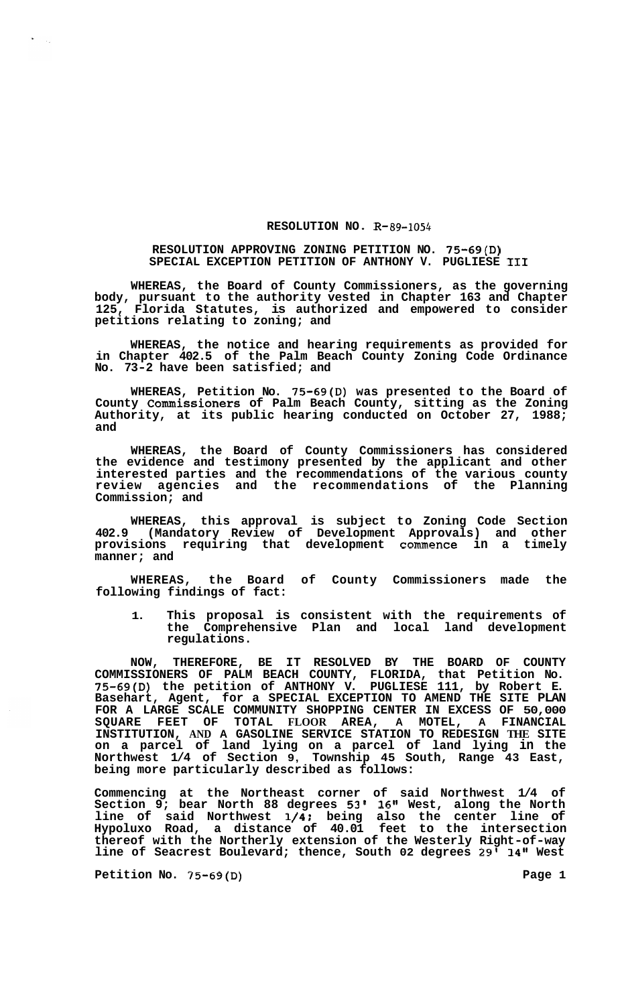## **RESOLUTION NO. R-89-1054**

## **RESOLUTION APPROVING ZONING PETITION NO. 75-69(D) SPECIAL EXCEPTION PETITION OF ANTHONY V. PUGLIESE I11**

**WHEREAS, the Board of County Commissioners, as the governing body, pursuant to the authority vested in Chapter 163 and Chapter 125, Florida Statutes, is authorized and empowered to consider petitions relating to zoning; and** 

**WHEREAS, the notice and hearing requirements as provided for in Chapter 402.5 of the Palm Beach County Zoning Code Ordinance No. 73-2 have been satisfied; and** 

**WHEREAS, Petition No. 75-69(D) was presented to the Board of County Commissioners of Palm Beach County, sitting as the Zoning Authority, at its public hearing conducted on October 27, 1988; and** 

**WHEREAS, the Board of County Commissioners has considered the evidence and testimony presented by the applicant and other interested parties and the recommendations of the various county review agencies and the recommendations of the Planning Commission; and** 

**WHEREAS, this approval is subject to Zoning Code Section 402.9 (Mandatory Review of Development Approvals) and other provisions requiring that development commence in a timely manner; and** 

**WHEREAS, the Board of County Commissioners made the following findings of fact:** 

**1. This proposal is consistent with the requirements of the Comprehensive Plan and local land development regulations.** 

**NOW, THEREFORE, BE IT RESOLVED BY THE BOARD OF COUNTY COMMISSIONERS OF PALM BEACH COUNTY, FLORIDA, that Petition No. 75-69(D) the petition of ANTHONY V. PUGLIESE 111, by Robert E. Basehart, Agent, for a SPECIAL EXCEPTION TO AMEND THE SITE PLAN FOR A LARGE SCALE COMMUNITY SHOPPING CENTER IN EXCESS OF 50,000 SQUARE FEET OF TOTAL FLOOR AREA, A MOTEL, A FINANCIAL INSTITUTION, AND A GASOLINE SERVICE STATION TO REDESIGN THE SITE on a parcel of land lying on a parcel of land lying in the Northwest 1/4 of Section 9, Township 45 South, Range 43 East, being more particularly described as follows:** 

**Commencing at the Northeast corner of said Northwest 1/4 of Section 9; bear North 88 degrees 53' 16" West, along the North line of said Northwest 1/4t being also the center line of Hypoluxo Road, a distance of 40.01 feet to the intersection thereof with the Northerly extension of the Westerly Right-of-way line of Seacrest Boulevard; thence, South 02 degrees 29' 14" West** 

**Petition No. 75-69(D)** Page 1

 $\sim 10^7$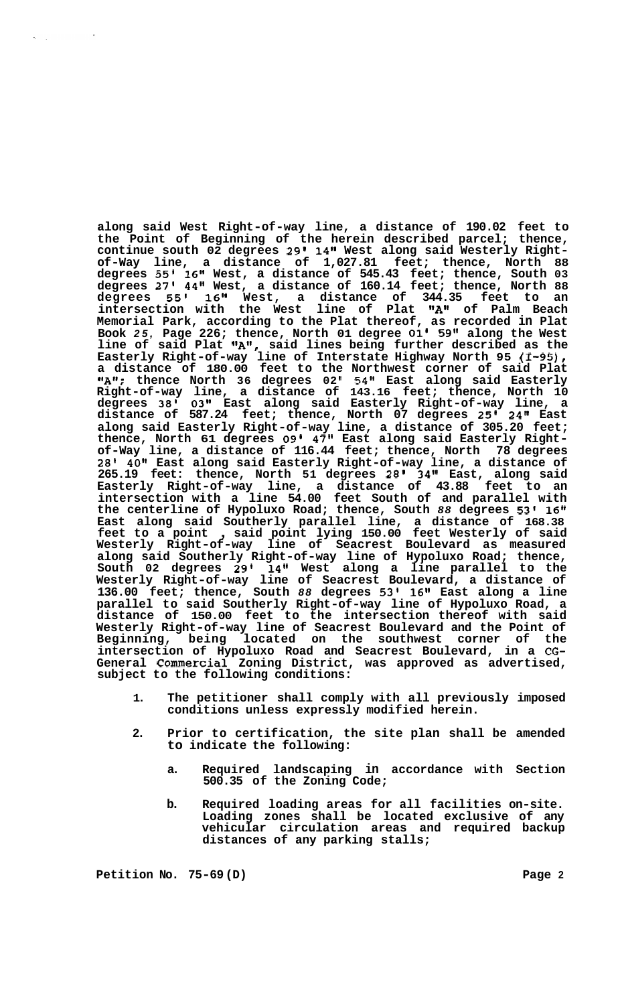**along said West Right-of-way line, a distance of 190.02 feet to the Point of Beginning of the herein described parcel; thence, continue south 02 degrees 29' 14" West along said Westerly Right- of-Way line, a distance of 1,027.81 feet; thence, North 88 degrees 55' 16" West, a distance of 545.43 feet; thence, South 03 degrees 27' 44" West, a distance of 160.14 feet; thence, North 88 degrees 55' 16" West, a distance of 344.35 feet to an intersection with the West line of Plat "A1' of Palm Beach Memorial Park, according to the Plat thereof, as recorded in Plat Book** *25,* **Page 226; thence, North 01 degree 01' 59" along the West**  line of said Plat  $"\textsf{A}"$ , said lines being further described as the **Easterly Right-of-way line of Interstate Highway North 95 (I-95), a distance of 180.00 feet to the Northwest corner of said Plat ttAf'; thence North 36 degrees 02 I 54" East along said Easterly Right-of-way line, a distance of 143.16 feet; thence, North 10 degrees 38' 03" East along said Easterly Right-of-way line, a distance of 587.24 feet; thence, North 07 degrees 25' 24" East along said Easterly Right-of-way line, a distance of 305.20 feet; thence, North 61 degrees 09' 47" East along said Easterly Right- of-Way line, a distance of 116.44 feet; thence, North 78 degrees 28' 40" East along said Easterly Right-of-way line, a distance of 265.19 feet: thence, North 51 degrees** *28'* **34'' East, along said Easterly Right-of-way line, a distance of 43.88 feet to an intersection with a line 54.00 feet South of and parallel with the centerline of Hypoluxo Road; thence, South** *88* **degrees 53' 16" East along said Southerly parallel line, a distance of 168.38 feet to a point** , **said point lying 150.00 feet Westerly of said Westerly Right-of-way line of Seacrest Boulevard as measured along said Southerly Right-of-way line of Hypoluxo Road; thence, South 02 degrees 29' 14" West along a line parallel to the Westerly Right-of-way line of Seacrest Boulevard, a distance of 136.00 feet; thence, South** *88* **degrees 53' 16" East along a line parallel to said Southerly Right-of-way line of Hypoluxo Road, a distance of 150.00 feet to the intersection thereof with said Westerly Right-of-way line of Seacrest Boulevard and the Point of Beginning, being located on the southwest corner of the intersection of Hypoluxo Road and Seacrest Boulevard, in a CG-General Commercial Zoning District, was approved as advertised, subject to the following conditions:** 

- **1. The petitioner shall comply with all previously imposed conditions unless expressly modified herein.**
- **2. Prior to certification, the site plan shall be amended to indicate the following:** 
	- **a. Required landscaping in accordance with Section 500.35 of the Zoning Code;**
	- **b. Required loading areas for all facilities on-site. Loading zones shall be located exclusive of any vehicular circulation areas and required backup distances of any parking stalls;**

**Petition No. 75-69 (D) Page 2** 

 $\sim$   $\sim$ 

 $\mathbf{x} = \mathbf{y}$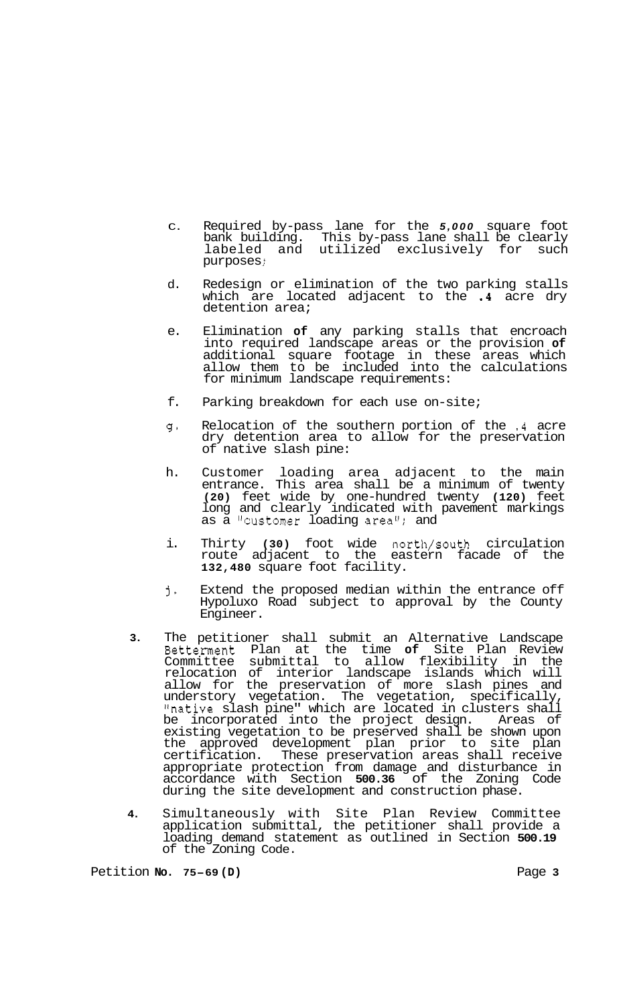- $\cap$ Required by-pass lane for the *5,000* square foot bank building. This by-pass lane shall be clearly labeled and utilized exclusively for such<br>purposes; labeled and
- d. Redesign or elimination of the two parking stalls which are located adjacent to the **.4** acre dry detention area;
- e. Elimination **of** any parking stalls that encroach into required landscape areas or the provision **of**  additional square footage in these areas which allow them to be included into the calculations for minimum landscape requirements:
- f. Parking breakdown for each use on-site;
- $\mathfrak{g}$  , Relocation of the southern portion of the **.4** acre dry detention area to allow for the preservation of native slash pine:
- h. Customer loading area adjacent to the main<br>entrance. This area shall be a minimum of twenty entrance. This area shall be a minimum of twenty **(20)** feet wide by one-hundred twenty **(120)** feet long and clearly indicated with pavement markings long and clearly indicated with pavement markings as a "customer loading area"; and
- i. Thirty **(30)** foot wide north/south circulation route adjacent to the eastern facade of the **132,480** square foot facility.
- j-Extend the proposed median within the entrance off Hypoluxo Road subject to approval by the County Engineer.
- **3.** The petitioner shall submit an Alternative Landscape Betterment Plan at the time **of** Site Plan Review Committee submittal to allow flexibility in the relocation of interior landscape islands which will allow for the preservation of more slash pines and understory vegetation. The vegetation, specifically, "native slash pine" which are located in clusters shall be incorporated into the project design. Areas of existing vegetation to be preserved shall be shown upon the approved development plan prior to site plan certification. These preservation areas shall receive appropriate protection from damage and disturbance in accordance with Section **500.36** of the Zoning Code during the site development and construction phase.
- **4.** Simultaneously with Site Plan Review Committee application submittal, the petitioner shall provide a loading demand statement as outlined in Section **500.19**  of the Zoning Code.

Petition **No. 75-69 (D)** Page **3**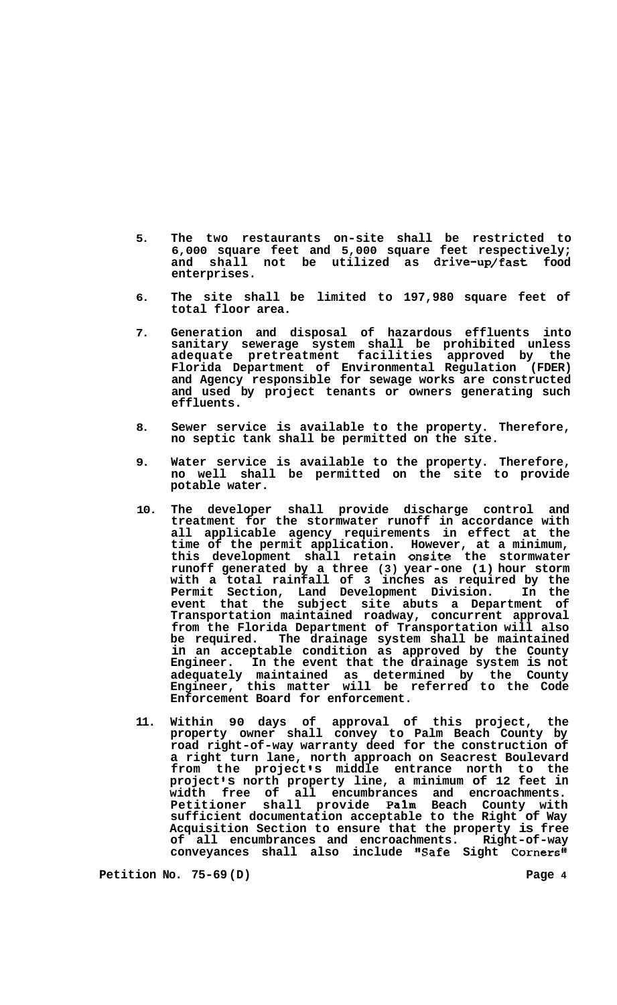- **5. The two restaurants on-site shall be restricted to 6,000 square feet and 5,000 square feet respectively;**  and shall not be utilized as drive-up/fast **enterprises.**
- **6. The site shall be limited to 197,980 square feet of total floor area.**
- **7. Generation and disposal of hazardous effluents into sanitary sewerage system shall be prohibited unless adequate pretreatment facilities approved by the Florida Department of Environmental Regulation (FDER) and Agency responsible for sewage works are constructed and used by project tenants or owners generating such effluents.**
- **8. Sewer service is available to the property. Therefore, no septic tank shall be permitted on the site.**
- **9. Water service is available to the property. Therefore, no well shall be permitted on the site to provide potable water.**
- **10. The developer shall provide discharge control and treatment for the stormwater runoff in accordance with all applicable agency requirements in effect at the time of the permit application. However, at a minimum, this development shall retain onsite the stormwater runoff generated by a three (3) year-one (1) hour storm with a total rainfall of 3 inches as required by the Permit Section, Land Development Division. In the event that the subject site abuts a Department of Transportation maintained roadway, concurrent approval from the Florida Department of Transportation will also**  The drainage system shall be maintained **in an acceptable condition as approved by the County Engineer. In the event that the drainage system is not adequately maintained as determined by the County Engineer, this matter will be referred to the Code Enforcement Board for enforcement.**
- **11. Within 90 days of approval of this project, the property owner shall convey to Palm Beach County by road right-of-way warranty deed for the construction of a right turn lane, north approach on Seacrest Boulevard from the project s middle entrance north to the project s north property line, a minimum of 12 feet in width free of all encumbrances and encroachments. Petitioner shall provide Palm Beach County with sufficient documentation acceptable to the Right of Way Acquisition Section to ensure that the property is free**  of all encumbrances and encroachments. **conveyances shall also include "Safe Sight Corners"**

**Petition No. 75-69 (D) Page 4**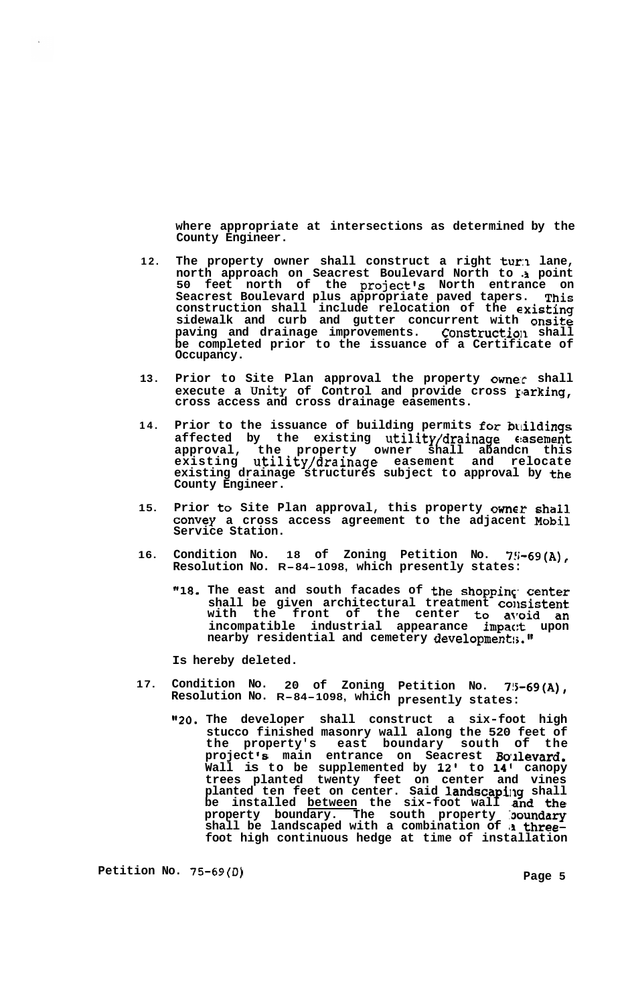**where appropriate at intersections as determined by the County Engineer.** 

- **12. The property owner shall construct a right turn lane, north approach on Seacrest Boulevard North to ,3 point**  50 feet north of the project's North entrance on **Seacrest Boulevard plus appropriate paved tapers. This construction shall include relocation of the existing sidewalk and curb and gutter concurrent with onsite**  paving and drainage improvements. Construction shall **be completed prior to the issuance of a Certificate of Occupancy.**
- **13. Prior to Site Plan approval the property owne:r shall**  execute a Unity of Control and provide cross parking, **cross access and cross drainage easements.**
- 14. Prior to the issuance of building permits for buildings **affected by the existing utility/drainage €basement approval, the property owner shall abandcn this existing utility/drainage easement and relocate existing drainage structures subject to approval by the County Engineer.**
- **15. Prior to Site Plan approval, this property Owner shall Convey a cross access agreement to the adjacent Mobil Service Station.**
- **16. Condition No. 18 of Zoning Petition No. 7!;-69(A), Resolution No. R-84-1098, which presently states:** 
	- **"18. The east and south facades of the shoppinc. center**  shall be given architectural treatment consistent with the front of the center to avoid an **incompatible industrial appearance impac:t upon nearby residential and cemetery development:;.tl**

**Is hereby deleted.** 

- **17. Condition No. 20 of Zoning Petition No. 7!5-69(A), Resolution No. R-84-1098, which presently states:** 
	- *"20.* **The developer shall construct a six-foot high stucco finished masonry wall along the 520 feet of the property's east boundary south of the project** *'8* **main entrance on Seacrest Wllevard. Wall is to be supplemented by 12' to 14' canopy trees planted twenty feet on center and vines**  planted ten feet on center. Said **landscapi**ng shall **be installed between the six-foot wall and the property boundary. The south property :boundary shall be landscaped with a combination of** *,I* **threefoot high continuous hedge at time of installation**

Petition No. 75-69(D) **Petition No. 75-69(D)**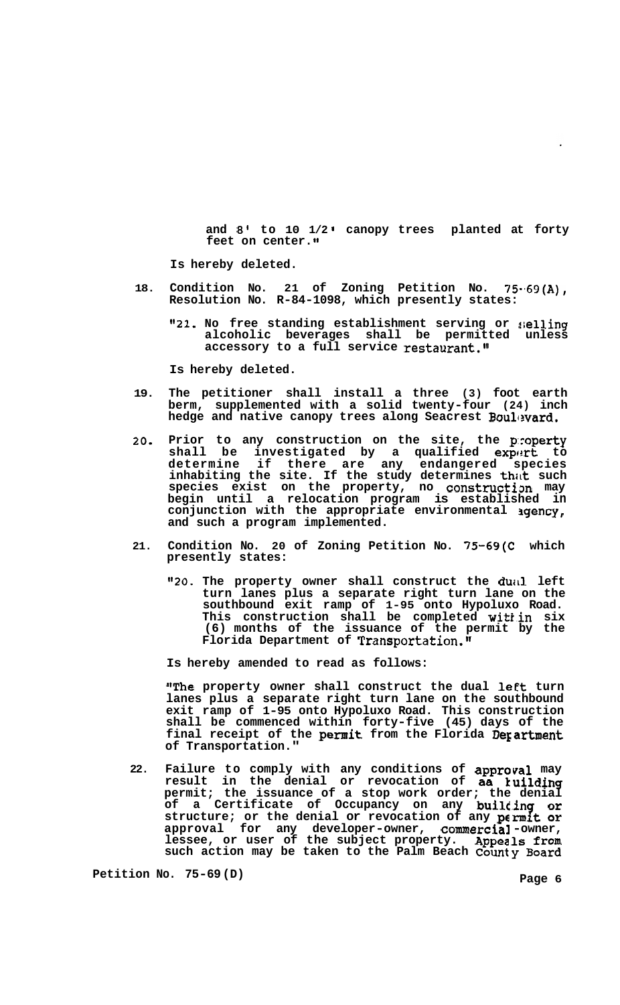**and** *8'* **to 10 1/2 canopy trees planted at forty feet on center.** 

**Is hereby deleted.** 

- **18. Condition No. 21 of Zoning Petition No. 75-.69(A), Resolution No. R-84-1098, which presently states:** 
	- **"21. No free standing establishment serving or !;elling alcoholic beverages shall be permitted unless accessory to a full service restaurant."**

**Is hereby deleted.** 

- **19. The petitioner shall install a three (3) foot earth berm, supplemented with a solid twenty-four (24) inch**  hedge and native canopy trees along Seacrest Boulevard.
- **20. Prior to any construction on the site, the p:roperty**  shall be investigated by a qualified exp**ert** to **determine if there are any endangered species inhabiting the site. If the study determines thitt such species exist on the property, no constructim may begin until a relocation program is established in**  conjunction with the appropriate environmental *agency*, **and such a program implemented.**
- **21. Condition No. 20 of Zoning Petition No. 75-69(C which presently states:** 
	- **"20. The property owner shall construct the duitl left turn lanes plus a separate right turn lane on the southbound exit ramp of 1-95 onto Hypoluxo Road. This construction shall be completed witkin six (6) months of the issuance of the permit by the Florida Department of Transportation.11**

**Is hereby amended to read as follows:** 

"The property owner shall construct the dual left turn **lanes plus a separate right turn lane on the southbound exit ramp of 1-95 onto Hypoluxo Road. This construction shall be commenced within forty-five (45) days of the final receipt of the permit from the Florida Degartment of Transportation."** 

**22. Failure to comply with any conditions of approval may result in the denial or revocation of aa kuilding permit; the issuance of a stop work order; the denial**  of a Certificate of Occupancy on any **building or structure; or the denial or revocation of any permit or approval for any developer-owner, commercial -owner,**  lessee, or user of the subject property. Appeals from **such action may be taken to the Palm Beach County Board** 

**Petition No. 75-69 (D)** Page 6